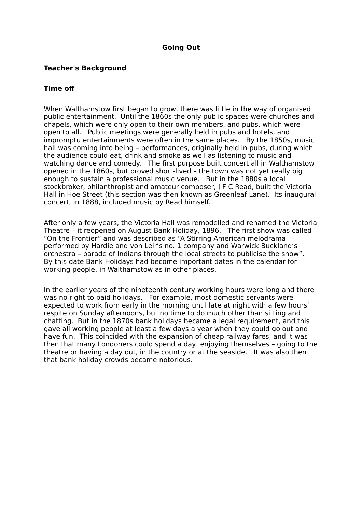## **Going Out**

## **Teacher's Background**

## **Time of**

When Walthamstow first began to grow, there was little in the way of organised public entertainment. Until the 1860s the only public spaces were churches and chapels, which were only open to their own members, and pubs, which were open to all. Public meetings were generally held in pubs and hotels, and impromptu entertainments were often in the same places. By the 1850s, music hall was coming into being – performances, originally held in pubs, during which the audience could eat, drink and smoke as well as listening to music and watching dance and comedy. The first purpose built concert all in Walthamstow opened in the 1860s, but proved short-lived – the town was not yet really big enough to sustain a professional music venue. But in the 1880s a local stockbroker, philanthropist and amateur composer, J F C Read, built the Victoria Hall in Hoe Street (this section was then known as Greenleaf Lane). Its inaugural concert, in 1888, included music by Read himself.

After only a few years, the Victoria Hall was remodelled and renamed the Victoria Theatre – it reopened on August Bank Holiday, 1896. The first show was called "On the Frontier" and was described as "A Stirring American melodrama performed by Hardie and von Leir's no. 1 company and Warwick Buckland's orchestra – parade of Indians through the local streets to publicise the show". By this date Bank Holidays had become important dates in the calendar for working people, in Walthamstow as in other places.

In the earlier years of the nineteenth century working hours were long and there was no right to paid holidays. For example, most domestic servants were expected to work from early in the morning until late at night with a few hours' respite on Sunday afternoons, but no time to do much other than sitting and chatting. But in the 1870s bank holidays became a legal requirement, and this gave all working people at least a few days a year when they could go out and have fun. This coincided with the expansion of cheap railway fares, and it was then that many Londoners could spend a day enjoying themselves – going to the theatre or having a day out, in the country or at the seaside. It was also then that bank holiday crowds became notorious.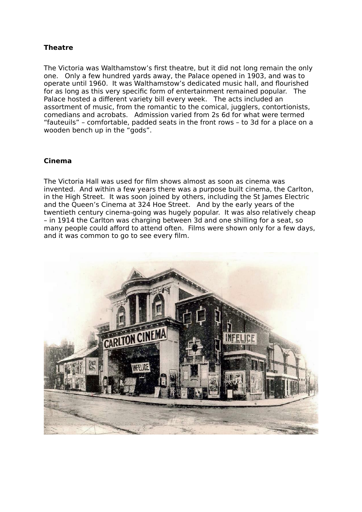# **Theatre**

The Victoria was Walthamstow's first theatre, but it did not long remain the only one. Only a few hundred yards away, the Palace opened in 1903, and was to operate until 1960. It was Walthamstow's dedicated music hall, and flourished for as long as this very specific form of entertainment remained popular. The Palace hosted a different variety bill every week. The acts included an assortment of music, from the romantic to the comical, jugglers, contortionists, comedians and acrobats. Admission varied from 2s 6d for what were termed "fauteuils" – comfortable, padded seats in the front rows – to 3d for a place on a wooden bench up in the "gods".

## **Cinema**

The Victoria Hall was used for film shows almost as soon as cinema was invented. And within a few years there was a purpose built cinema, the Carlton, in the High Street. It was soon joined by others, including the St James Electric and the Queen's Cinema at 324 Hoe Street. And by the early years of the twentieth century cinema-going was hugely popular. It was also relatively cheap – in 1914 the Carlton was charging between 3d and one shilling for a seat, so many people could afford to attend often. Films were shown only for a few days, and it was common to go to see every film.

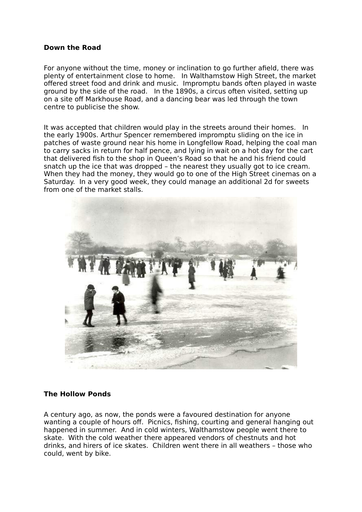#### **Down the Road**

For anyone without the time, money or inclination to go further afield, there was plenty of entertainment close to home. In Walthamstow High Street, the market offered street food and drink and music. Impromptu bands often played in waste ground by the side of the road. In the 1890s, a circus often visited, setting up on a site off Markhouse Road, and a dancing bear was led through the town centre to publicise the show.

It was accepted that children would play in the streets around their homes. In the early 1900s. Arthur Spencer remembered impromptu sliding on the ice in patches of waste ground near his home in Longfellow Road, helping the coal man to carry sacks in return for half pence, and lying in wait on a hot day for the cart that delivered fish to the shop in Queen's Road so that he and his friend could snatch up the ice that was dropped – the nearest they usually got to ice cream. When they had the money, they would go to one of the High Street cinemas on a Saturday. In a very good week, they could manage an additional 2d for sweets from one of the market stalls.



#### **The Hollow Ponds**

A century ago, as now, the ponds were a favoured destination for anyone wanting a couple of hours off. Picnics, fishing, courting and general hanging out happened in summer. And in cold winters, Walthamstow people went there to skate. With the cold weather there appeared vendors of chestnuts and hot drinks, and hirers of ice skates. Children went there in all weathers – those who could, went by bike.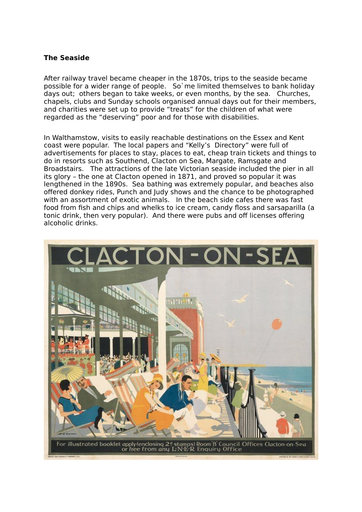### **The Seaside**

After railway travel became cheaper in the 1870s, trips to the seaside became possible for a wider range of people. So`me limited themselves to bank holiday days out; others began to take weeks, or even months, by the sea. Churches, chapels, clubs and Sunday schools organised annual days out for their members, and charities were set up to provide "treats" for the children of what were regarded as the "deserving" poor and for those with disabilities.

In Walthamstow, visits to easily reachable destinations on the Essex and Kent coast were popular. The local papers and "Kelly's Directory" were full of advertisements for places to stay, places to eat, cheap train tickets and things to do in resorts such as Southend, Clacton on Sea, Margate, Ramsgate and Broadstairs. The attractions of the late Victorian seaside included the pier in all its glory – the one at Clacton opened in 1871, and proved so popular it was lengthened in the 1890s. Sea bathing was extremely popular, and beaches also offered donkey rides, Punch and Judy shows and the chance to be photographed with an assortment of exotic animals. In the beach side cafes there was fast food from fish and chips and whelks to ice cream, candy floss and sarsaparilla (a tonic drink, then very popular). And there were pubs and off licenses offering alcoholic drinks.

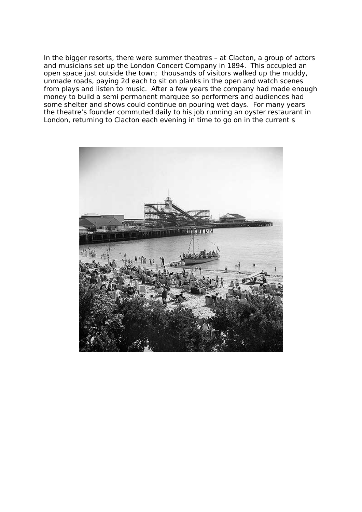In the bigger resorts, there were summer theatres – at Clacton, a group of actors and musicians set up the London Concert Company in 1894. This occupied an open space just outside the town; thousands of visitors walked up the muddy, unmade roads, paying 2d each to sit on planks in the open and watch scenes from plays and listen to music. After a few years the company had made enough money to build a semi permanent marquee so performers and audiences had some shelter and shows could continue on pouring wet days. For many years the theatre's founder commuted daily to his job running an oyster restaurant in London, returning to Clacton each evening in time to go on in the current s